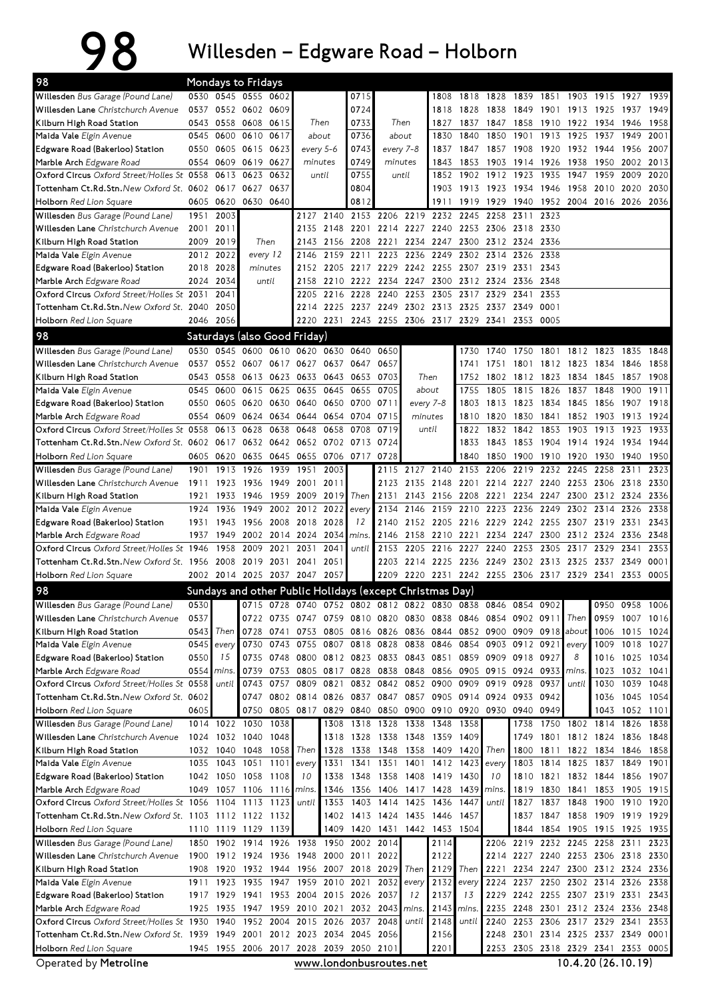## 98 Willesden – Edgware Road – Holborn

| 98                                                                      |              |                   | Mondays to Fridays                                   |              |                          |                |                                                                   |                                         |                |                                       |                |                     |                                                   |           |                          |                     |                   |              |
|-------------------------------------------------------------------------|--------------|-------------------|------------------------------------------------------|--------------|--------------------------|----------------|-------------------------------------------------------------------|-----------------------------------------|----------------|---------------------------------------|----------------|---------------------|---------------------------------------------------|-----------|--------------------------|---------------------|-------------------|--------------|
| Willesden Bus Garage (Pound Lane)                                       |              |                   | 0530 0545 0555 0602                                  |              |                          |                | 0715                                                              |                                         |                |                                       | 1818           |                     | 1828 1839 1851                                    |           |                          | 1903 1915 1927      |                   | 1939         |
| <b>Willesden Lane</b> Christchurch Avenue                               |              |                   | 0537 0552 0602 0609                                  |              |                          |                | 0724                                                              |                                         |                | 1818                                  | 1828           | 1838                | 1849                                              |           | 1901 1913 1925           |                     | 1937              | 1949         |
| Kilburn High Road Station                                               |              | 0543 0558 0608    |                                                      | 0615<br>Then |                          |                | 0733                                                              | Then                                    |                | 1827                                  | 1837           | 1847                | 1858                                              | 1910      | 1922 1934                |                     | 1946              | 1958         |
| <b>Maida Vale</b> Elgin Avenue                                          | 0545         |                   | 0600 0610<br>0617<br>about                           |              |                          | 0736           | about                                                             |                                         | 1830           | 1840                                  | 1850           | 1901                | 1913                                              | 1925      | 1937                     | 1949                | 2001              |              |
| Edgware Road (Bakerloo) Station                                         | 0550         |                   | 0605 0615<br>0623                                    |              |                          | every 5-6      |                                                                   | 0743<br>every 7-8                       |                | 1837                                  | 1847           |                     | 1857 1908                                         | 1920      | 1932 1944                |                     | 1956              | 2007         |
| <b>Marble Arch</b> Edgware Road                                         | 0554         |                   | 0609 0619 0627                                       |              | minutes                  |                | 0749                                                              | minutes                                 |                | 1843                                  | 1853           | 1903                | 1914                                              | 1926      | 1938                     | 1950                | 2002              | 2013         |
| Oxford Circus Oxford Street/Holles St. 0558                             |              | 0613 0623         |                                                      | 0632         |                          | until          | 0755                                                              | until                                   |                | 1852                                  | 1902           | 1912                | 1923                                              | 1935      | 1947                     | 1959                | 2009              | 2020         |
| Tottenham Ct.Rd.Stn.New Oxford St. 0602 0617 0627                       |              |                   |                                                      | 0637         |                          |                | 0804                                                              |                                         |                | 1903                                  | 1913 1923      |                     | 1934                                              | 1946      | 1958 2010                |                     | 2020              | 2030         |
| <b>Holborn</b> Red Lion Square                                          |              | 0605 0620         | 0630 0640                                            |              |                          |                | 0812                                                              |                                         |                | 1911                                  |                | 1919 1929 1940      |                                                   |           | 1952 2004 2016 2026 2036 |                     |                   |              |
| Willesden Bus Garage (Pound Lane)                                       | 1951         | 2003              |                                                      |              | 2127                     | 2140           |                                                                   | 2153 2206 2219                          |                | 2232                                  | 2245           | 2258                | 2311                                              | 2323      |                          |                     |                   |              |
| Willesden Lane Christchurch Avenue                                      | 2001<br>2009 | 2011              | Then                                                 |              |                          | 2143 2156 2208 | 2135 2148 2201 2214 2227 2240 2253 2306 2318 2330                 | 2221 2234 2247 2300 2312 2324 2336      |                |                                       |                |                     |                                                   |           |                          |                     |                   |              |
| Kilburn High Road Station                                               |              | 2019<br>2012 2022 | every 12                                             |              | 2146                     | 2159           | 2211                                                              |                                         |                |                                       |                |                     | 2223 2236 2249 2302 2314 2326 2338                |           |                          |                     |                   |              |
| <b>Maida Vale</b> Elgin Avenue<br>Edgware Road (Bakerloo) Station       | 2018 2028    |                   | minutes                                              |              |                          | 2152 2205      |                                                                   | 2217 2229 2242 2255 2307 2319 2331 2343 |                |                                       |                |                     |                                                   |           |                          |                     |                   |              |
| Marble Arch Edgware Road                                                | 2024         | 2034              |                                                      | until        | 2158                     | 2210           |                                                                   | 2222 2234 2247                          |                |                                       |                | 2300 2312 2324 2336 |                                                   | 2348      |                          |                     |                   |              |
| Oxford Circus Oxford Street/Holles St. 2031                             |              | 2041              |                                                      |              | 2205                     | 2216           | 2228                                                              | 2240                                    | 2253           | 2305                                  | 2317           | 2329 2341           |                                                   | 2353      |                          |                     |                   |              |
| Tottenham Ct.Rd.Stn.New Oxford St. 2040 2050                            |              |                   |                                                      |              |                          |                | 2214 2225 2237 2249 2302 2313 2325 2337 2349                      |                                         |                |                                       |                |                     |                                                   | 0001      |                          |                     |                   |              |
| <b>Holborn</b> Red Lion Square                                          |              | 2046 2056         |                                                      |              |                          |                | 2220 2231 2243 2255 2306 2317 2329 2341 2353 0005                 |                                         |                |                                       |                |                     |                                                   |           |                          |                     |                   |              |
| 98                                                                      |              |                   | Saturdays (also Good Friday)                         |              |                          |                |                                                                   |                                         |                |                                       |                |                     |                                                   |           |                          |                     |                   |              |
| Willesden Bus Garage (Pound Lane)                                       | 0530         |                   | 0545 0600                                            |              | 0610 0620 0630 0640      |                |                                                                   | 0650                                    |                |                                       | 1730           | 1740                | 1750                                              | 1801      | 1812 1823                |                     | 1835              | 1848         |
| Willesden Lane Christchurch Avenue                                      | 0537         |                   | 0552 0607 0617 0627 0637                             |              |                          |                | 0647                                                              | 0657                                    |                |                                       | 1741           |                     | 1751 1801                                         |           | 1812 1823 1834           |                     | 1846              | 1858         |
| Kilburn High Road Station                                               | 0543         | 0558              | 0613                                                 |              | 0623 0633 0643 0653      |                |                                                                   | 0703                                    |                | Then                                  | 1752           |                     | 1802 1812                                         | 1823      | 1834 1845                |                     | 1857              | 1908         |
| <b>Maida Vale</b> Elgin Avenue                                          | 0545         | 0600              | 0615                                                 | 0625         | 0635                     | 0645           | 0655                                                              | 0705                                    |                | about                                 | 1755           | 1805                | 1815                                              | 1826      | 1837                     | 1848                | 1900              | 1911         |
| Edgware Road (Bakerloo) Station                                         | 0550         | 0605 0620         |                                                      | 0630         | 0640 0650 0700           |                |                                                                   | 0711                                    | every 7-8      |                                       | 1803           | 1813                | 1823                                              | 1834      | 1845 1856                |                     | 1907              | 1918         |
| Marble Arch Edgware Road                                                |              | 0554 0609         | 0624                                                 | 0634         | 0644                     | 0654           | 0704                                                              | 0715                                    | minutes        |                                       | 1810           | 1820                | 1830                                              | 1841      |                          | 1852 1903           | 1913              | 1924         |
| Oxford Circus Oxford Street/Holles St. 0558                             |              | 0613              | 0628                                                 | 0638         | 0648                     | 0658           | 0708                                                              | 0719                                    |                | until                                 | 1822           | 1832                | 1842                                              | 1853      | 1903                     | 1913                | 1923              | 1933         |
| Tottenham Ct.Rd.Stn.New Oxford St. 0602 0617                            |              |                   |                                                      |              | 0632 0642 0652 0702 0713 |                |                                                                   | 0724                                    |                |                                       | 1833           | 1843 1853           |                                                   | 1904      | 1914 1924                |                     | 1934              | 1944         |
| <b>Holborn</b> Red Lion Square                                          |              |                   |                                                      |              |                          |                | 0605 0620 0635 0645 0655 0706 0717 0728                           |                                         |                |                                       | 1840           |                     | 1850 1900 1910 1920 1930                          |           |                          |                     | 1940              | 1950         |
| Willesden Bus Garage (Pound Lane)                                       |              | 1901 1913 1926    |                                                      | 1939         | 1951                     | 2003           |                                                                   |                                         | 2115 2127 2140 |                                       |                | 2153 2206 2219      |                                                   |           | 2232 2245 2258           |                     | 2311              | 2323         |
| <b>Willesden Lane</b> Christchurch Avenue                               |              | 1911 1923 1936    |                                                      | 1949         | 2001                     | 2011           |                                                                   |                                         | 2123 2135 2148 |                                       |                |                     | 2201 2214 2227 2240                               |           |                          | 2253 2306 2318      |                   | 2330         |
| Kilburn High Road Station                                               | 1921         | 1933              | 1946                                                 |              | 1959 2009 2019           |                | Then                                                              | 2131                                    |                |                                       |                |                     | 2143 2156 2208 2221 2234 2247 2300 2312 2324      |           |                          |                     |                   | 2336         |
| <b>Maida Vale</b> Elgin Avenue                                          | 1924         | 1936              | 1949                                                 | 2002         | 2012                     | 2022           | every                                                             | 2134                                    | 2146           | 2159                                  | 2210           | 2223 2236           |                                                   | 2249      | 2302 2314                |                     | 2326              | 2338         |
| Edgware Road (Bakerloo) Station                                         | 1931         |                   | 1943 1956 2008                                       |              | 2018 2028                |                | 12                                                                | 2140                                    |                | 2152 2205                             |                |                     | 2216 2229 2242 2255                               |           | 2307 2319                |                     | 2331              | 2343         |
| Marble Arch Edgware Road<br>Oxford Circus Oxford Street/Holles St. 1946 | 1937         | 1949<br>1958      | 2002 2014 2024 2034<br>2009                          | 2021         | 2031                     | 2041           | mins.<br>until                                                    | 2146                                    |                | 2158 2210 2221<br>2153 2205 2216 2227 |                | 2240                | 2234 2247 2300<br>2253                            | 2305      | 2312 2324<br>2317 2329   |                     | 2336 2348<br>2341 | 2353         |
| Tottenham Ct.Rd.Stn.New Oxford St. 1956 2008 2019                       |              |                   |                                                      | 2031         | 2041                     | 2051           |                                                                   |                                         |                |                                       |                |                     | 2203 2214 2225 2236 2249 2302 2313 2325 2337 2349 |           |                          |                     |                   | 0001         |
| Holborn Red Lion Square                                                 |              |                   | 2002 2014 2025 2037 2047 2057                        |              |                          |                |                                                                   |                                         |                |                                       |                |                     | 2209 2220 2231 2242 2255 2306 2317 2329 2341      |           |                          |                     | 2353 0005         |              |
| 98                                                                      |              |                   |                                                      |              |                          |                | Sundays and other Public Holidays (except Christmas Day)          |                                         |                |                                       |                |                     |                                                   |           |                          |                     |                   |              |
| Willesden Bus Garage (Pound Lane)                                       | 0530         |                   |                                                      |              |                          |                | 0715 0728 0740 0752 0802 0812 0822 0830 0838 0846 0854 0902       |                                         |                |                                       |                |                     |                                                   |           |                          |                     | 0950 0958 1006    |              |
| Willesden Lane Christchurch Avenue                                      | 0537         |                   |                                                      |              |                          |                | 0722 0735 0747 0759 0810 0820 0830 0838 0846 0854 0902 0911       |                                         |                |                                       |                |                     |                                                   |           | Then                     |                     | 0959 1007 1016    |              |
| Kilburn High Road Station                                               | 0543         | Then              |                                                      |              |                          |                | 0728 0741 0753 0805 0816 0826 0836 0844 0852 0900 0909 0918 about |                                         |                |                                       |                |                     |                                                   |           |                          |                     | 1006 1015 1024    |              |
| Maida Vale Elgin Avenue                                                 | 0545         | every             |                                                      |              |                          |                | 0730 0743 0755 0807 0818 0828 0838 0846                           |                                         |                |                                       | 0854           |                     | 0903 0912 0921                                    |           | every                    | 1009                | 1018 1027         |              |
| Edgware Road (Bakerloo) Station                                         | 0550         | 15                |                                                      |              |                          |                | 0735 0748 0800 0812 0823 0833 0843 0851 0859 0909 0918 0927       |                                         |                |                                       |                |                     |                                                   |           | 8                        | 1016                | 1025 1034         |              |
| Marble Arch Edgware Road                                                | 0554         | mins.             | 0739                                                 |              | 0753 0805 0817 0828      |                |                                                                   |                                         | 0838 0848      |                                       |                |                     | 0856 0905 0915 0924 0933                          |           | mins.                    | 1023                | 1032 1041         |              |
| Oxford Circus Oxford Street/Holles St. 0558                             |              | until             |                                                      | 0743 0757    | 0809 0821                |                |                                                                   | 0832 0842 0852                          |                | 0900                                  | 0909           | 0919 0928           |                                                   | 0937      | until                    | 1030                |                   | 1039 1048    |
| Tottenham Ct.Rd.Stn.New Oxford St. 0602                                 |              |                   |                                                      |              |                          |                | 0747 0802 0814 0826 0837                                          |                                         | 0847 0857      |                                       |                |                     | 0905 0914 0924 0933 0942                          |           |                          | 1036                | 1045 1054         |              |
| <b>Holborn</b> Red Lion Square                                          | 0605         |                   | 0750                                                 |              |                          |                | 0805 0817 0829 0840 0850 0900 0910 0920 0930 0940 0949            |                                         |                |                                       |                |                     |                                                   |           |                          | 1043                | 1052 1101         |              |
| Willesden Bus Garage (Pound Lane)                                       |              |                   | 1014 1022 1030                                       | 1038         |                          | 1308           | 1318                                                              | 1328 1338                               |                | 1348                                  | 1358           |                     | 1738                                              |           | 1750 1802 1814 1826      |                     |                   | 1838         |
| Willesden Lane Christchurch Avenue                                      |              | 1024 1032 1040    |                                                      | 1048         |                          | 1318           | 1328                                                              | 1338 1348                               |                | 1359 1409                             |                |                     | 1749                                              | 1801      | 1812 1824                |                     | 1836              | 1848         |
| Kilburn High Road Station                                               |              |                   | 1032 1040 1048 1058                                  |              | Then                     | 1328           | 1338                                                              | 1348 1358                               |                |                                       | 1409 1420 Then |                     | 1800                                              | 1811      |                          | 1822 1834 1846 1858 |                   |              |
| <b>Maida Vale</b> Elgin Avenue                                          |              |                   | 1035 1043 1051 1101                                  |              | every                    | 1331           | 1341                                                              | 1351                                    | 1401           | 1412                                  | 1423           | every               | 1803                                              | 1814      | 1825 1837                |                     | 1849              | 1901         |
| Edgware Road (Bakerloo) Station                                         |              |                   | 1042 1050 1058 1108                                  |              | 10                       | 1338           | 1348                                                              | 1358 1408 1419 1430                     |                |                                       |                | 10                  |                                                   | 1810 1821 | 1832 1844 1856 1907      |                     |                   |              |
| Marble Arch Edgware Road                                                |              |                   | 1049 1057 1106 1116 mins.                            |              |                          |                | 1346 1356                                                         | 1406 1417 1428                          |                |                                       | 1439           | mins.               |                                                   | 1819 1830 | 1841 1853 1905 1915      |                     |                   |              |
| Oxford Circus Oxford Street/Holles St. 1056 1104 1113 1123              |              |                   |                                                      |              | until                    | 1353           | 1403                                                              | 1414 1425                               |                | 1436                                  | 1447           | until               | 1827                                              | 1837      | 1848 1900                |                     | 1910 1920         |              |
| Tottenham Ct.Rd.Stn.New Oxford St. 1103 1112 1122 1132                  |              |                   |                                                      |              |                          |                | 1402 1413 1424 1435 1446 1457                                     |                                         |                |                                       |                |                     |                                                   | 1837 1847 |                          | 1858 1909 1919 1929 |                   |              |
| <b>Holborn</b> Red Lion Square                                          |              |                   | 1110 1119 1129 1139<br>1850 1902 1914 1926 1938 1950 |              |                          | 1409           | 1420                                                              | 1431 1442<br>2002 2014                  |                | 1453 1504                             |                |                     | 1844<br>2206 2219 2232 2245 2258                  | 1854      | 1905 1915 1925           |                     | 2311              | 1935<br>2323 |
| Willesden Bus Garage (Pound Lane)<br>Willesden Lane Christchurch Avenue |              |                   |                                                      |              |                          |                | 1900 1912 1924 1936 1948 2000 2011                                | 2022                                    |                | 2114<br>2122                          |                |                     | 2214 2227 2240 2253 2306 2318 2330                |           |                          |                     |                   |              |
| Kilburn High Road Station                                               |              |                   | 1908 1920 1932 1944                                  |              |                          |                | 1956 2007 2018 2029 Then                                          |                                         |                | 2129                                  | Then           | 2221                | 2234                                              | 2247      |                          | 2300 2312 2324 2336 |                   |              |
| <b>Maida Vale</b> Elgin Avenue                                          | 1911         | 1923              | 1935                                                 | 1947         |                          |                | 1959 2010 2021                                                    | 2032                                    | every          | 2132                                  | every          | 2224                | 2237                                              | 2250      |                          | 2302 2314 2326      |                   | 2338         |
| Edgware Road (Bakerloo) Station                                         |              | 1917 1929         | 1941 1953                                            |              |                          | 2004 2015 2026 |                                                                   | 2037                                    | 12             | 2137                                  | 13             |                     | 2229 2242                                         |           | 2255 2307 2319 2331      |                     |                   | 2343         |
| <b>Marble Arch</b> Edgware Road                                         | 1925         | 1935              | 1947                                                 | 1959         |                          | 2010 2021      | 2032                                                              | 2043                                    | mins.          | 2143                                  | mins.          |                     | 2235 2248                                         | 2301      |                          | 2312 2324 2336      |                   | 2348         |
| Oxford Circus Oxford Street/Holles St. 1930                             |              | 1940              | 1952                                                 | 2004         |                          | 2015 2026      | 2037                                                              | 2048                                    | until          | 2148                                  | until          | 2240                |                                                   |           | 2253 2306 2317 2329 2341 |                     |                   | 2353         |
| Tottenham Ct.Rd.Stn.New Oxford St. 1939 1949 2001 2012 2023 2034        |              |                   |                                                      |              |                          |                | 2045                                                              | 2056                                    |                | 2156                                  |                |                     | 2248 2301 2314 2325 2337 2349 0001                |           |                          |                     |                   |              |
| Holborn Red Lion Square                                                 |              |                   |                                                      |              |                          |                | 1945 1955 2006 2017 2028 2039 2050 2101                           |                                         |                | 2201                                  |                |                     | 2253 2305 2318 2329 2341 2353 0005                |           |                          |                     |                   |              |

Operated by Metroline www.londonbusroutes.net